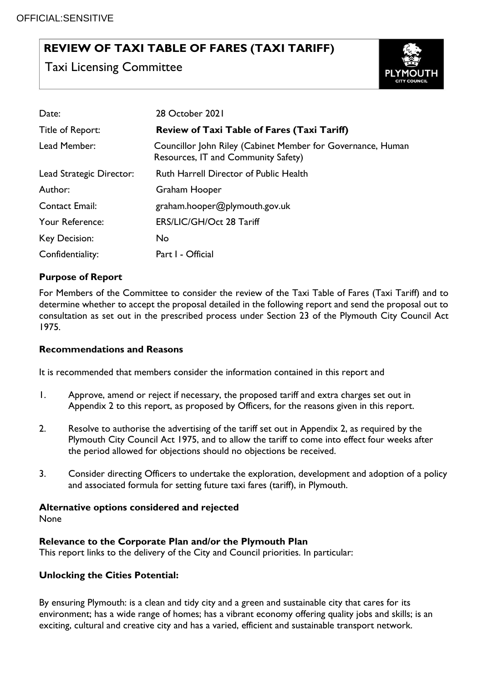### **REVIEW OF TAXI TABLE OF FARES (TAXI TARIFF)**

Taxi Licensing Committee



| Date:                    | 28 October 2021                                                                                    |
|--------------------------|----------------------------------------------------------------------------------------------------|
| Title of Report:         | <b>Review of Taxi Table of Fares (Taxi Tariff)</b>                                                 |
| Lead Member:             | Councillor John Riley (Cabinet Member for Governance, Human<br>Resources, IT and Community Safety) |
| Lead Strategic Director: | <b>Ruth Harrell Director of Public Health</b>                                                      |
| Author:                  | Graham Hooper                                                                                      |
| <b>Contact Email:</b>    | graham.hooper@plymouth.gov.uk                                                                      |
| Your Reference:          | ERS/LIC/GH/Oct 28 Tariff                                                                           |
| Key Decision:            | No.                                                                                                |
| Confidentiality:         | Part I - Official                                                                                  |

#### **Purpose of Report**

For Members of the Committee to consider the review of the Taxi Table of Fares (Taxi Tariff) and to determine whether to accept the proposal detailed in the following report and send the proposal out to consultation as set out in the prescribed process under Section 23 of the Plymouth City Council Act 1975.

#### **Recommendations and Reasons**

It is recommended that members consider the information contained in this report and

- 1. Approve, amend or reject if necessary, the proposed tariff and extra charges set out in Appendix 2 to this report, as proposed by Officers, for the reasons given in this report.
- 2. Resolve to authorise the advertising of the tariff set out in Appendix 2, as required by the Plymouth City Council Act 1975, and to allow the tariff to come into effect four weeks after the period allowed for objections should no objections be received.
- 3. Consider directing Officers to undertake the exploration, development and adoption of a policy and associated formula for setting future taxi fares (tariff), in Plymouth.

#### **Alternative options considered and rejected**

None

#### **Relevance to the Corporate Plan and/or the Plymouth Plan**

This report links to the delivery of the City and Council priorities. In particular:

#### **Unlocking the Cities Potential:**

By ensuring Plymouth: is a clean and tidy city and a green and sustainable city that cares for its environment; has a wide range of homes; has a vibrant economy offering quality jobs and skills; is an exciting, cultural and creative city and has a varied, efficient and sustainable transport network.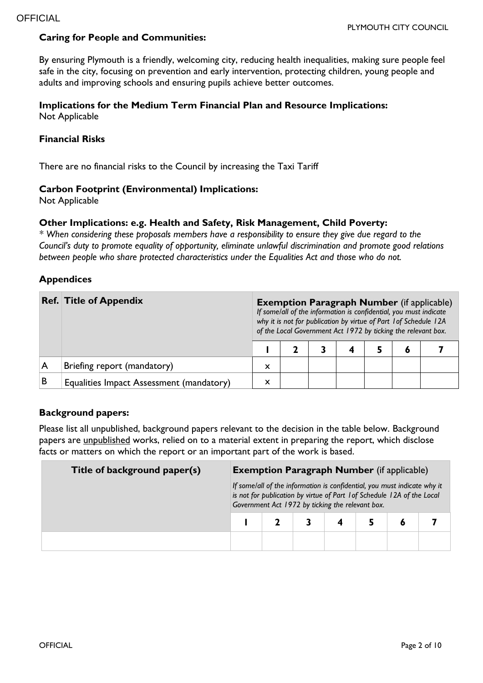#### **Caring for People and Communities:**

By ensuring Plymouth is a friendly, welcoming city, reducing health inequalities, making sure people feel safe in the city, focusing on prevention and early intervention, protecting children, young people and adults and improving schools and ensuring pupils achieve better outcomes.

#### **Implications for the Medium Term Financial Plan and Resource Implications:**  Not Applicable

#### **Financial Risks**

There are no financial risks to the Council by increasing the Taxi Tariff

#### **Carbon Footprint (Environmental) Implications:**

Not Applicable

#### **Other Implications: e.g. Health and Safety, Risk Management, Child Poverty:**

*\* When considering these proposals members have a responsibility to ensure they give due regard to the Council's duty to promote equality of opportunity, eliminate unlawful discrimination and promote good relations between people who share protected characteristics under the Equalities Act and those who do not.*

#### **Appendices**

|   | <b>Ref. Title of Appendix</b>            |   | <b>Exemption Paragraph Number</b> (if applicable)<br>If some/all of the information is confidential, you must indicate<br>why it is not for publication by virtue of Part 1 of Schedule 12A<br>of the Local Government Act 1972 by ticking the relevant box. |  |  |  |  |  |  |  |
|---|------------------------------------------|---|--------------------------------------------------------------------------------------------------------------------------------------------------------------------------------------------------------------------------------------------------------------|--|--|--|--|--|--|--|
|   |                                          |   |                                                                                                                                                                                                                                                              |  |  |  |  |  |  |  |
|   | Briefing report (mandatory)              | X |                                                                                                                                                                                                                                                              |  |  |  |  |  |  |  |
| В | Equalities Impact Assessment (mandatory) | X |                                                                                                                                                                                                                                                              |  |  |  |  |  |  |  |

#### **Background papers:**

Please list all unpublished, background papers relevant to the decision in the table below. Background papers are unpublished works, relied on to a material extent in preparing the report, which disclose facts or matters on which the report or an important part of the work is based.

| Title of background paper(s) | <b>Exemption Paragraph Number</b> (if applicable)                                                                                                                                                       |  |  |  |  |  |  |
|------------------------------|---------------------------------------------------------------------------------------------------------------------------------------------------------------------------------------------------------|--|--|--|--|--|--|
|                              | If some/all of the information is confidential, you must indicate why it<br>is not for publication by virtue of Part 1 of Schedule 12A of the Local<br>Government Act 1972 by ticking the relevant box. |  |  |  |  |  |  |
|                              |                                                                                                                                                                                                         |  |  |  |  |  |  |
|                              |                                                                                                                                                                                                         |  |  |  |  |  |  |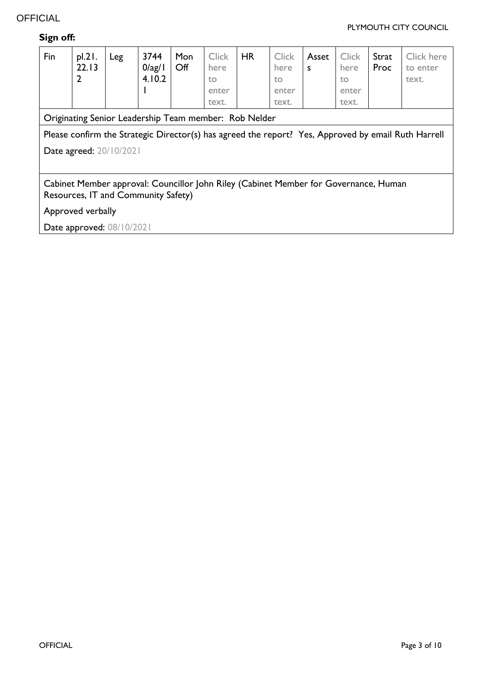#### PLYMOUTH CITY COUNCIL

| Sign off: |  |
|-----------|--|
|-----------|--|

| Fin                                                                                                                         | pl.21.<br>22.13<br>$\overline{2}$ | Leg | 3744<br>$0$ /ag/1<br>4.10.2 | Mon<br>Off | <b>Click</b><br>here<br>to<br>enter<br>text. | <b>HR</b> | <b>Click</b><br>here<br>to<br>enter<br>text. | Asset<br>S | <b>Click</b><br>here<br>to<br>enter<br>text. | Strat<br>Proc | Click here<br>to enter<br>text. |
|-----------------------------------------------------------------------------------------------------------------------------|-----------------------------------|-----|-----------------------------|------------|----------------------------------------------|-----------|----------------------------------------------|------------|----------------------------------------------|---------------|---------------------------------|
| Originating Senior Leadership Team member: Rob Nelder                                                                       |                                   |     |                             |            |                                              |           |                                              |            |                                              |               |                                 |
| Please confirm the Strategic Director(s) has agreed the report? Yes, Approved by email Ruth Harrell                         |                                   |     |                             |            |                                              |           |                                              |            |                                              |               |                                 |
|                                                                                                                             | Date agreed: 20/10/2021           |     |                             |            |                                              |           |                                              |            |                                              |               |                                 |
|                                                                                                                             |                                   |     |                             |            |                                              |           |                                              |            |                                              |               |                                 |
| Cabinet Member approval: Councillor John Riley (Cabinet Member for Governance, Human<br>Resources, IT and Community Safety) |                                   |     |                             |            |                                              |           |                                              |            |                                              |               |                                 |
| Approved verbally                                                                                                           |                                   |     |                             |            |                                              |           |                                              |            |                                              |               |                                 |
| Date approved: 08/10/2021                                                                                                   |                                   |     |                             |            |                                              |           |                                              |            |                                              |               |                                 |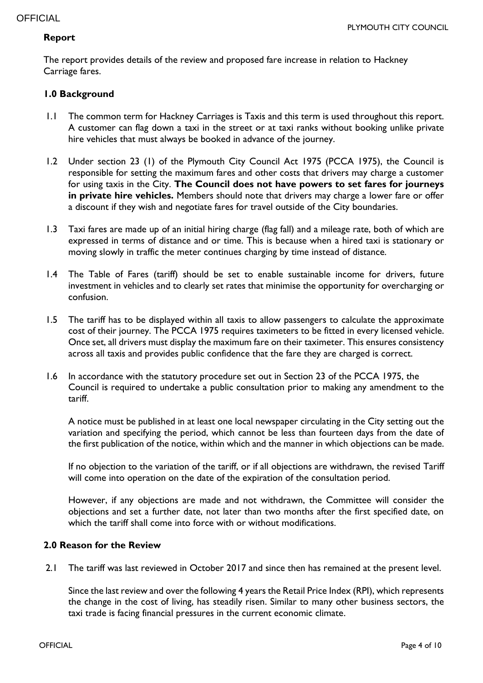#### **Report**

The report provides details of the review and proposed fare increase in relation to Hackney Carriage fares.

#### **1.0 Background**

- 1.1 The common term for Hackney Carriages is Taxis and this term is used throughout this report. A customer can flag down a taxi in the street or at taxi ranks without booking unlike private hire vehicles that must always be booked in advance of the journey.
- 1.2 Under section 23 (1) of the Plymouth City Council Act 1975 (PCCA 1975), the Council is responsible for setting the maximum fares and other costs that drivers may charge a customer for using taxis in the City. **The Council does not have powers to set fares for journeys in private hire vehicles.** Members should note that drivers may charge a lower fare or offer a discount if they wish and negotiate fares for travel outside of the City boundaries.
- 1.3 Taxi fares are made up of an initial hiring charge (flag fall) and a mileage rate, both of which are expressed in terms of distance and or time. This is because when a hired taxi is stationary or moving slowly in traffic the meter continues charging by time instead of distance.
- 1.4 The Table of Fares (tariff) should be set to enable sustainable income for drivers, future investment in vehicles and to clearly set rates that minimise the opportunity for overcharging or confusion.
- 1.5 The tariff has to be displayed within all taxis to allow passengers to calculate the approximate cost of their journey. The PCCA 1975 requires taximeters to be fitted in every licensed vehicle. Once set, all drivers must display the maximum fare on their taximeter. This ensures consistency across all taxis and provides public confidence that the fare they are charged is correct.
- 1.6 In accordance with the statutory procedure set out in Section 23 of the PCCA 1975, the Council is required to undertake a public consultation prior to making any amendment to the tariff.

A notice must be published in at least one local newspaper circulating in the City setting out the variation and specifying the period, which cannot be less than fourteen days from the date of the first publication of the notice, within which and the manner in which objections can be made.

If no objection to the variation of the tariff, or if all objections are withdrawn, the revised Tariff will come into operation on the date of the expiration of the consultation period.

However, if any objections are made and not withdrawn, the Committee will consider the objections and set a further date, not later than two months after the first specified date, on which the tariff shall come into force with or without modifications.

#### **2.0 Reason for the Review**

2.1 The tariff was last reviewed in October 2017 and since then has remained at the present level.

Since the last review and over the following 4 years the Retail Price Index (RPI), which represents the change in the cost of living, has steadily risen. Similar to many other business sectors, the taxi trade is facing financial pressures in the current economic climate.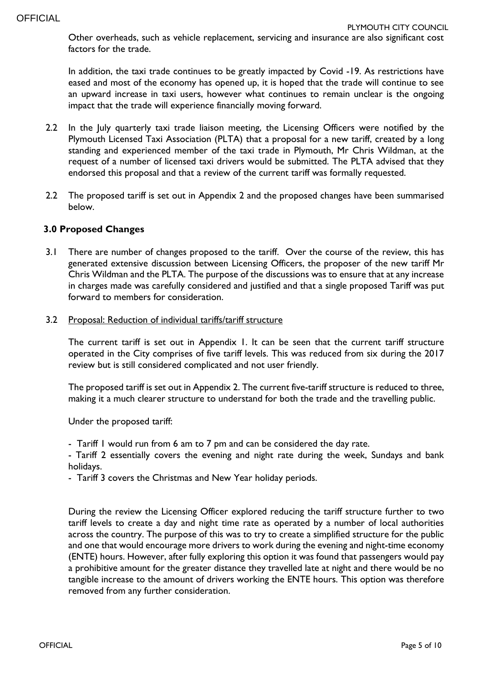Other overheads, such as vehicle replacement, servicing and insurance are also significant cost factors for the trade.

In addition, the taxi trade continues to be greatly impacted by Covid -19. As restrictions have eased and most of the economy has opened up, it is hoped that the trade will continue to see an upward increase in taxi users, however what continues to remain unclear is the ongoing impact that the trade will experience financially moving forward.

- 2.2 In the July quarterly taxi trade liaison meeting, the Licensing Officers were notified by the Plymouth Licensed Taxi Association (PLTA) that a proposal for a new tariff, created by a long standing and experienced member of the taxi trade in Plymouth, Mr Chris Wildman, at the request of a number of licensed taxi drivers would be submitted. The PLTA advised that they endorsed this proposal and that a review of the current tariff was formally requested.
- 2.2 The proposed tariff is set out in Appendix 2 and the proposed changes have been summarised below.

#### **3.0 Proposed Changes**

- 3.1 There are number of changes proposed to the tariff. Over the course of the review, this has generated extensive discussion between Licensing Officers, the proposer of the new tariff Mr Chris Wildman and the PLTA. The purpose of the discussions was to ensure that at any increase in charges made was carefully considered and justified and that a single proposed Tariff was put forward to members for consideration.
- 3.2 Proposal: Reduction of individual tariffs/tariff structure

The current tariff is set out in Appendix 1. It can be seen that the current tariff structure operated in the City comprises of five tariff levels. This was reduced from six during the 2017 review but is still considered complicated and not user friendly.

The proposed tariff is set out in Appendix 2. The current five-tariff structure is reduced to three, making it a much clearer structure to understand for both the trade and the travelling public.

Under the proposed tariff:

- Tariff 1 would run from 6 am to 7 pm and can be considered the day rate.

- Tariff 2 essentially covers the evening and night rate during the week, Sundays and bank holidays.

- Tariff 3 covers the Christmas and New Year holiday periods.

During the review the Licensing Officer explored reducing the tariff structure further to two tariff levels to create a day and night time rate as operated by a number of local authorities across the country. The purpose of this was to try to create a simplified structure for the public and one that would encourage more drivers to work during the evening and night-time economy (ENTE) hours. However, after fully exploring this option it was found that passengers would pay a prohibitive amount for the greater distance they travelled late at night and there would be no tangible increase to the amount of drivers working the ENTE hours. This option was therefore removed from any further consideration.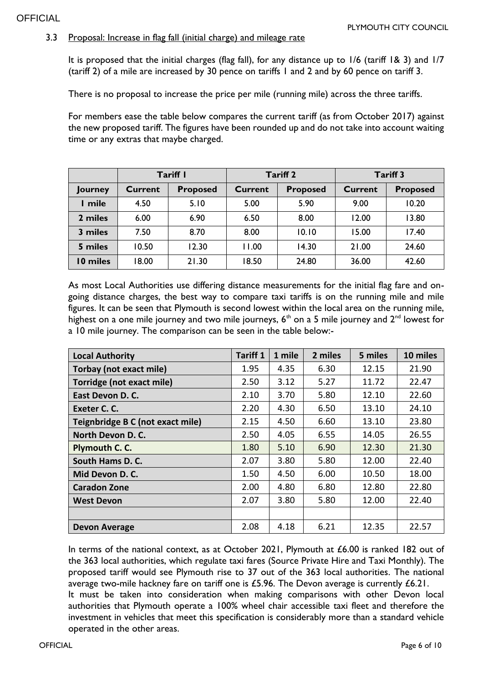#### 3.3 Proposal: Increase in flag fall (initial charge) and mileage rate

It is proposed that the initial charges (flag fall), for any distance up to 1/6 (tariff 1& 3) and 1/7 (tariff 2) of a mile are increased by 30 pence on tariffs 1 and 2 and by 60 pence on tariff 3.

There is no proposal to increase the price per mile (running mile) across the three tariffs.

For members ease the table below compares the current tariff (as from October 2017) against the new proposed tariff. The figures have been rounded up and do not take into account waiting time or any extras that maybe charged.

|                | Tariff I |                 |         | <b>Tariff 2</b> | <b>Tariff 3</b> |                 |  |
|----------------|----------|-----------------|---------|-----------------|-----------------|-----------------|--|
| <b>Journey</b> | Current  | <b>Proposed</b> | Current | Proposed        | Current         | <b>Proposed</b> |  |
| I mile         | 4.50     | 5.10            | 5.00    | 5.90            | 9.00            | 10.20           |  |
| 2 miles        | 6.00     | 6.90            | 6.50    | 8.00            | 12.00           | 13.80           |  |
| 3 miles        | 7.50     | 8.70            | 8.00    | 10.10           | 15.00           | 17.40           |  |
| 5 miles        | 10.50    | 12.30           | 11.00   | 14.30           | 21.00           | 24.60           |  |
| 10 miles       | 18.00    | 21.30           | 18.50   | 24.80           | 36.00           | 42.60           |  |

As most Local Authorities use differing distance measurements for the initial flag fare and ongoing distance charges, the best way to compare taxi tariffs is on the running mile and mile figures. It can be seen that Plymouth is second lowest within the local area on the running mile, highest on a one mile journey and two mile journeys,  $6<sup>th</sup>$  on a 5 mile journey and  $2<sup>nd</sup>$  lowest for a 10 mile journey. The comparison can be seen in the table below:-

| <b>Local Authority</b>           | <b>Tariff 1</b> | 1 mile | 2 miles | 5 miles | 10 miles |
|----------------------------------|-----------------|--------|---------|---------|----------|
| <b>Torbay (not exact mile)</b>   | 1.95            | 4.35   | 6.30    | 12.15   | 21.90    |
| <b>Torridge (not exact mile)</b> | 2.50            | 3.12   | 5.27    | 11.72   | 22.47    |
| East Devon D. C.                 | 2.10            | 3.70   | 5.80    | 12.10   | 22.60    |
| Exeter C. C.                     | 2.20            | 4.30   | 6.50    | 13.10   | 24.10    |
| Teignbridge B C (not exact mile) | 2.15            | 4.50   | 6.60    | 13.10   | 23.80    |
| North Devon D. C.                | 2.50            | 4.05   | 6.55    | 14.05   | 26.55    |
| Plymouth C. C.                   | 1.80            | 5.10   | 6.90    | 12.30   | 21.30    |
| South Hams D. C.                 | 2.07            | 3.80   | 5.80    | 12.00   | 22.40    |
| Mid Devon D. C.                  | 1.50            | 4.50   | 6.00    | 10.50   | 18.00    |
| <b>Caradon Zone</b>              | 2.00            | 4.80   | 6.80    | 12.80   | 22.80    |
| <b>West Devon</b>                | 2.07            | 3.80   | 5.80    | 12.00   | 22.40    |
|                                  |                 |        |         |         |          |
| <b>Devon Average</b>             | 2.08            | 4.18   | 6.21    | 12.35   | 22.57    |

In terms of the national context, as at October 2021, Plymouth at £6.00 is ranked 182 out of the 363 local authorities, which regulate taxi fares (Source Private Hire and Taxi Monthly). The proposed tariff would see Plymouth rise to 37 out of the 363 local authorities. The national average two-mile hackney fare on tariff one is £5.96. The Devon average is currently £6.21. It must be taken into consideration when making comparisons with other Devon local authorities that Plymouth operate a 100% wheel chair accessible taxi fleet and therefore the investment in vehicles that meet this specification is considerably more than a standard vehicle operated in the other areas.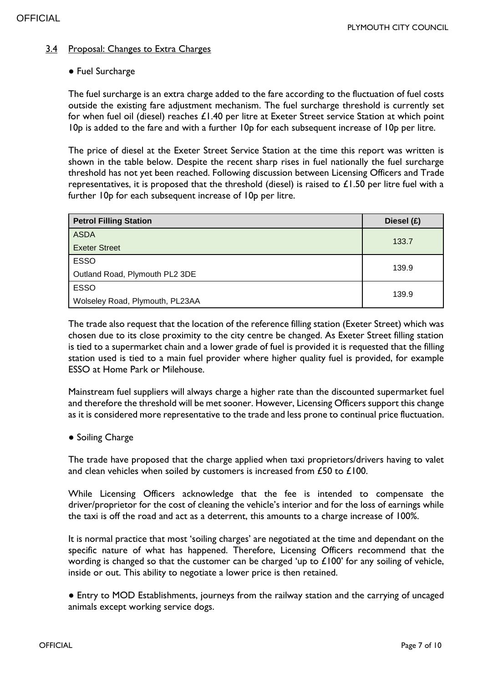#### 3.4 Proposal: Changes to Extra Charges

#### ● Fuel Surcharge

The fuel surcharge is an extra charge added to the fare according to the fluctuation of fuel costs outside the existing fare adjustment mechanism. The fuel surcharge threshold is currently set for when fuel oil (diesel) reaches £1.40 per litre at Exeter Street service Station at which point 10p is added to the fare and with a further 10p for each subsequent increase of 10p per litre.

The price of diesel at the Exeter Street Service Station at the time this report was written is shown in the table below. Despite the recent sharp rises in fuel nationally the fuel surcharge threshold has not yet been reached. Following discussion between Licensing Officers and Trade representatives, it is proposed that the threshold (diesel) is raised to  $£1.50$  per litre fuel with a further 10p for each subsequent increase of 10p per litre.

| <b>Petrol Filling Station</b>   | Diesel (£) |
|---------------------------------|------------|
| <b>ASDA</b>                     | 133.7      |
| <b>Exeter Street</b>            |            |
| <b>ESSO</b>                     | 139.9      |
| Outland Road, Plymouth PL2 3DE  |            |
| <b>ESSO</b>                     |            |
| Wolseley Road, Plymouth, PL23AA | 139.9      |

The trade also request that the location of the reference filling station (Exeter Street) which was chosen due to its close proximity to the city centre be changed. As Exeter Street filling station is tied to a supermarket chain and a lower grade of fuel is provided it is requested that the filling station used is tied to a main fuel provider where higher quality fuel is provided, for example ESSO at Home Park or Milehouse.

Mainstream fuel suppliers will always charge a higher rate than the discounted supermarket fuel and therefore the threshold will be met sooner. However, Licensing Officers support this change as it is considered more representative to the trade and less prone to continual price fluctuation.

#### ● Soiling Charge

The trade have proposed that the charge applied when taxi proprietors/drivers having to valet and clean vehicles when soiled by customers is increased from £50 to £100.

While Licensing Officers acknowledge that the fee is intended to compensate the driver/proprietor for the cost of cleaning the vehicle's interior and for the loss of earnings while the taxi is off the road and act as a deterrent, this amounts to a charge increase of 100%.

It is normal practice that most 'soiling charges' are negotiated at the time and dependant on the specific nature of what has happened. Therefore, Licensing Officers recommend that the wording is changed so that the customer can be charged 'up to £100' for any soiling of vehicle, inside or out. This ability to negotiate a lower price is then retained.

● Entry to MOD Establishments, journeys from the railway station and the carrying of uncaged animals except working service dogs.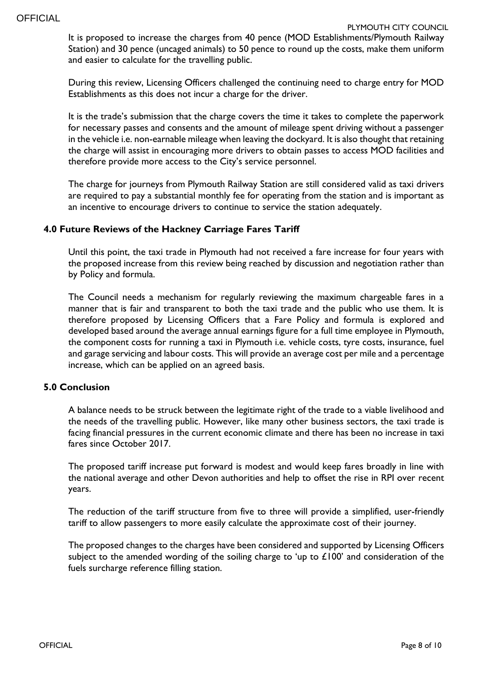It is proposed to increase the charges from 40 pence (MOD Establishments/Plymouth Railway Station) and 30 pence (uncaged animals) to 50 pence to round up the costs, make them uniform and easier to calculate for the travelling public.

During this review, Licensing Officers challenged the continuing need to charge entry for MOD Establishments as this does not incur a charge for the driver.

It is the trade's submission that the charge covers the time it takes to complete the paperwork for necessary passes and consents and the amount of mileage spent driving without a passenger in the vehicle i.e. non-earnable mileage when leaving the dockyard. It is also thought that retaining the charge will assist in encouraging more drivers to obtain passes to access MOD facilities and therefore provide more access to the City's service personnel.

The charge for journeys from Plymouth Railway Station are still considered valid as taxi drivers are required to pay a substantial monthly fee for operating from the station and is important as an incentive to encourage drivers to continue to service the station adequately.

#### **4.0 Future Reviews of the Hackney Carriage Fares Tariff**

Until this point, the taxi trade in Plymouth had not received a fare increase for four years with the proposed increase from this review being reached by discussion and negotiation rather than by Policy and formula.

The Council needs a mechanism for regularly reviewing the maximum chargeable fares in a manner that is fair and transparent to both the taxi trade and the public who use them. It is therefore proposed by Licensing Officers that a Fare Policy and formula is explored and developed based around the average annual earnings figure for a full time employee in Plymouth, the component costs for running a taxi in Plymouth i.e. vehicle costs, tyre costs, insurance, fuel and garage servicing and labour costs. This will provide an average cost per mile and a percentage increase, which can be applied on an agreed basis.

#### **5.0 Conclusion**

A balance needs to be struck between the legitimate right of the trade to a viable livelihood and the needs of the travelling public. However, like many other business sectors, the taxi trade is facing financial pressures in the current economic climate and there has been no increase in taxi fares since October 2017.

The proposed tariff increase put forward is modest and would keep fares broadly in line with the national average and other Devon authorities and help to offset the rise in RPI over recent years.

The reduction of the tariff structure from five to three will provide a simplified, user-friendly tariff to allow passengers to more easily calculate the approximate cost of their journey.

The proposed changes to the charges have been considered and supported by Licensing Officers subject to the amended wording of the soiling charge to 'up to  $£100'$  and consideration of the fuels surcharge reference filling station.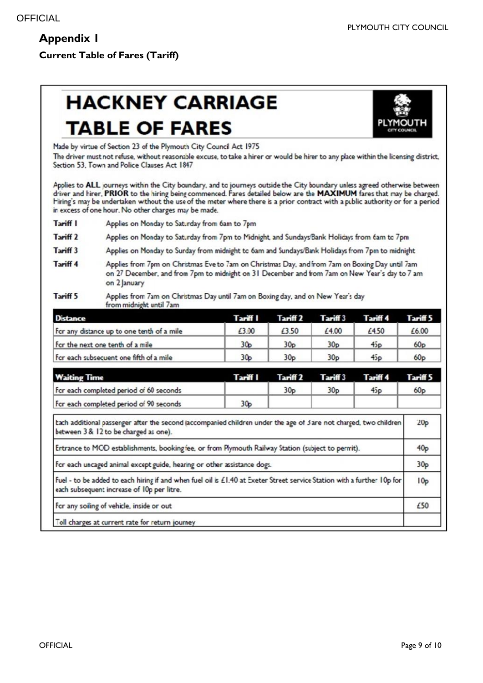**Current Table of Fares (Tariff)**

# **HACKNEY CARRIAGE TABLE OF FARES**



Made by virtue of Section 23 of the Plymouth City Council Act 1975

The driver must not refuse, without reasonable excuse, to take a hirer or would be hirer to any place within the licensing district, Section 53, Town and Police Clauses Act 1847

Applies to ALL journeys within the City boundary, and to journeys outside the City boundary unless agreed otherwise between driver and hirer. PRIOR to the hiring being commenced. Fares detailed below are the MAXIMUM fares that may be charged. Hiring's may be undertaken without the use of the meter where there is a prior contract with a public authority or for a period in excess of one hour. No other charges may be made.

Tariff I Applies on Monday to Saturday from 6am to 7pm

Tariff 2 Applies on Monday to Saturday from 7pm to Midnight, and Sundays Bank Holidays from 6am to 7pm

- Tariff 3 Applies on Monday to Surday from midnight to 6am and Sundays/Bank Holidays from 7pm to midnight
- Tariff 4 Applies from 7pm on Christmas Eve to 7am on Christmas Day, and from 7am on Boxing Day until 7am on 27 December, and from 7pm to midnight on 31 December and from 7am on New Year's day to 7 am on 2 January

Tariff 5 Applies from 72m on Christmas Day until 7am on Boxing day, and on New Year's day from midnight until 7am

| <b>Distance</b>                            | Tariff I        | Tariff 2        | Tariff 3        | Tariff 4 | Tariff 5        |
|--------------------------------------------|-----------------|-----------------|-----------------|----------|-----------------|
| For any distance up to one tenth of a mile | £3.00           | £3.50           | £4.00           | £4.50    | £6.00           |
| For the next one tenth of a mile           | 30 <sub>p</sub> | 30 <sub>D</sub> | 30 <sub>p</sub> | 45p      | 60 <sub>p</sub> |
| For each subsequent one fifth of a mile    | 30p             | 30 <sub>D</sub> | 30 <sub>D</sub> | 45p      | 60 <sub>D</sub> |

| <b>Waiting Time</b>                                                                                                                                                   | Tariff I        | Tariff <sub>2</sub> | Tariff 3        | <b>Tariff 4</b> | Tariff 5        |  |
|-----------------------------------------------------------------------------------------------------------------------------------------------------------------------|-----------------|---------------------|-----------------|-----------------|-----------------|--|
| For each completed period of 60 seconds                                                                                                                               |                 | 30 <sub>p</sub>     | 30 <sub>p</sub> | 45p             | 60 <sub>p</sub> |  |
| For each completed period of 90 seconds                                                                                                                               | 30 <sub>p</sub> |                     |                 |                 |                 |  |
| bach additional passenger after the second (accompanied children under the age of 3 are not charged, two children<br>between 3 & 12 to be charged as one).            |                 |                     |                 |                 | 20 <sub>p</sub> |  |
| Entrance to MOD establishments, booking fee, or from Plymouth Railway Station (subject to permit).                                                                    |                 |                     |                 |                 | 40 <sub>p</sub> |  |
| For each uncaged animal except guide, hearing or other assistance dogs.                                                                                               |                 |                     |                 |                 |                 |  |
| Fuel - to be added to each hiring if and when fuel oil is £1.40 at Exeter Street service Station with a further 10p for<br>each subsequent increase of 10p per litre. |                 |                     |                 |                 |                 |  |
| For any soling of vehicle, inside or out                                                                                                                              |                 |                     |                 |                 | £50             |  |

Toll charges at current rate for return journey